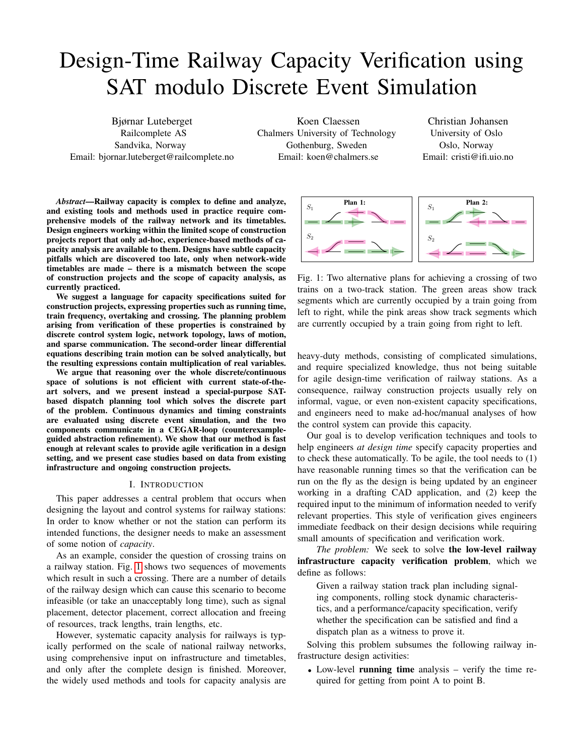# Design-Time Railway Capacity Verification using SAT modulo Discrete Event Simulation

Bjørnar Luteberget Railcomplete AS Sandvika, Norway Email: bjornar.luteberget@railcomplete.no

Koen Claessen Chalmers University of Technology Gothenburg, Sweden Email: koen@chalmers.se

Christian Johansen University of Oslo Oslo, Norway Email: cristi@ifi.uio.no

*Abstract*—Railway capacity is complex to define and analyze, and existing tools and methods used in practice require comprehensive models of the railway network and its timetables. Design engineers working within the limited scope of construction projects report that only ad-hoc, experience-based methods of capacity analysis are available to them. Designs have subtle capacity pitfalls which are discovered too late, only when network-wide timetables are made – there is a mismatch between the scope of construction projects and the scope of capacity analysis, as currently practiced.

We suggest a language for capacity specifications suited for construction projects, expressing properties such as running time, train frequency, overtaking and crossing. The planning problem arising from verification of these properties is constrained by discrete control system logic, network topology, laws of motion, and sparse communication. The second-order linear differential equations describing train motion can be solved analytically, but the resulting expressions contain multiplication of real variables.

We argue that reasoning over the whole discrete/continuous space of solutions is not efficient with current state-of-theart solvers, and we present instead a special-purpose SATbased dispatch planning tool which solves the discrete part of the problem. Continuous dynamics and timing constraints are evaluated using discrete event simulation, and the two components communicate in a CEGAR-loop (counterexampleguided abstraction refinement). We show that our method is fast enough at relevant scales to provide agile verification in a design setting, and we present case studies based on data from existing infrastructure and ongoing construction projects.

## I. INTRODUCTION

This paper addresses a central problem that occurs when designing the layout and control systems for railway stations: In order to know whether or not the station can perform its intended functions, the designer needs to make an assessment of some notion of *capacity*.

As an example, consider the question of crossing trains on a railway station. Fig. [1](#page-0-0) shows two sequences of movements which result in such a crossing. There are a number of details of the railway design which can cause this scenario to become infeasible (or take an unacceptably long time), such as signal placement, detector placement, correct allocation and freeing of resources, track lengths, train lengths, etc.

However, systematic capacity analysis for railways is typically performed on the scale of national railway networks, using comprehensive input on infrastructure and timetables, and only after the complete design is finished. Moreover, the widely used methods and tools for capacity analysis are

<span id="page-0-0"></span>

Fig. 1: Two alternative plans for achieving a crossing of two trains on a two-track station. The green areas show track segments which are currently occupied by a train going from left to right, while the pink areas show track segments which are currently occupied by a train going from right to left.

heavy-duty methods, consisting of complicated simulations, and require specialized knowledge, thus not being suitable for agile design-time verification of railway stations. As a consequence, railway construction projects usually rely on informal, vague, or even non-existent capacity specifications, and engineers need to make ad-hoc/manual analyses of how the control system can provide this capacity.

Our goal is to develop verification techniques and tools to help engineers *at design time* specify capacity properties and to check these automatically. To be agile, the tool needs to (1) have reasonable running times so that the verification can be run on the fly as the design is being updated by an engineer working in a drafting CAD application, and (2) keep the required input to the minimum of information needed to verify relevant properties. This style of verification gives engineers immediate feedback on their design decisions while requiring small amounts of specification and verification work.

*The problem:* We seek to solve the low-level railway infrastructure capacity verification problem, which we define as follows:

Given a railway station track plan including signaling components, rolling stock dynamic characteristics, and a performance/capacity specification, verify whether the specification can be satisfied and find a dispatch plan as a witness to prove it.

Solving this problem subsumes the following railway infrastructure design activities:

• Low-level **running time** analysis – verify the time required for getting from point A to point B.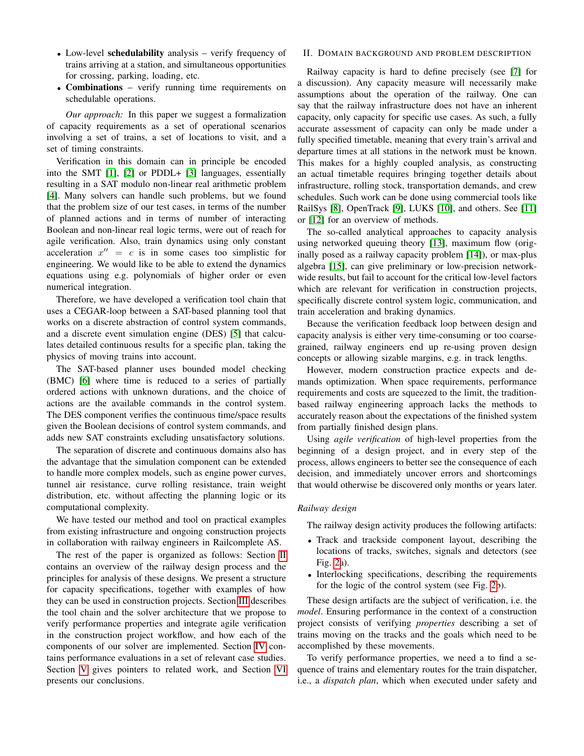- Low-level schedulability analysis verify frequency of trains arriving at a station, and simultaneous opportunities for crossing, parking, loading, etc.
- **Combinations** verify running time requirements on schedulable operations.

*Our approach:* In this paper we suggest a formalization of capacity requirements as a set of operational scenarios involving a set of trains, a set of locations to visit, and a set of timing constraints.

Verification in this domain can in principle be encoded into the SMT [\[1\]](#page-8-0), [\[2\]](#page-8-1) or PDDL+ [\[3\]](#page-8-2) languages, essentially resulting in a SAT modulo non-linear real arithmetic problem [\[4\]](#page-8-3). Many solvers can handle such problems, but we found that the problem size of our test cases, in terms of the number of planned actions and in terms of number of interacting Boolean and non-linear real logic terms, were out of reach for agile verification. Also, train dynamics using only constant acceleration  $x'' = c$  is in some cases too simplistic for engineering. We would like to be able to extend the dynamics equations using e.g. polynomials of higher order or even numerical integration.

Therefore, we have developed a verification tool chain that uses a CEGAR-loop between a SAT-based planning tool that works on a discrete abstraction of control system commands, and a discrete event simulation engine (DES) [\[5\]](#page-8-4) that calculates detailed continuous results for a specific plan, taking the physics of moving trains into account.

The SAT-based planner uses bounded model checking (BMC) [\[6\]](#page-8-5) where time is reduced to a series of partially ordered actions with unknown durations, and the choice of actions are the available commands in the control system. The DES component verifies the continuous time/space results given the Boolean decisions of control system commands, and adds new SAT constraints excluding unsatisfactory solutions.

The separation of discrete and continuous domains also has the advantage that the simulation component can be extended to handle more complex models, such as engine power curves, tunnel air resistance, curve rolling resistance, train weight distribution, etc. without affecting the planning logic or its computational complexity.

We have tested our method and tool on practical examples from existing infrastructure and ongoing construction projects in collaboration with railway engineers in Railcomplete AS.

The rest of the paper is organized as follows: Section [II](#page-1-0) contains an overview of the railway design process and the principles for analysis of these designs. We present a structure for capacity specifications, together with examples of how they can be used in construction projects. Section [III](#page-3-0) describes the tool chain and the solver architecture that we propose to verify performance properties and integrate agile verification in the construction project workflow, and how each of the components of our solver are implemented. Section [IV](#page-6-0) contains performance evaluations in a set of relevant case studies. Section [V](#page-7-0) gives pointers to related work, and Section [VI](#page-7-1) presents our conclusions.

## <span id="page-1-0"></span>II. DOMAIN BACKGROUND AND PROBLEM DESCRIPTION

Railway capacity is hard to define precisely (see [\[7\]](#page-8-6) for a discussion). Any capacity measure will necessarily make assumptions about the operation of the railway. One can say that the railway infrastructure does not have an inherent capacity, only capacity for specific use cases. As such, a fully accurate assessment of capacity can only be made under a fully specified timetable, meaning that every train's arrival and departure times at all stations in the network must be known. This makes for a highly coupled analysis, as constructing an actual timetable requires bringing together details about infrastructure, rolling stock, transportation demands, and crew schedules. Such work can be done using commercial tools like RailSys [\[8\]](#page-8-7), OpenTrack [\[9\]](#page-8-8), LUKS [\[10\]](#page-8-9), and others. See [\[11\]](#page-8-10) or [\[12\]](#page-8-11) for an overview of methods.

The so-called analytical approaches to capacity analysis using networked queuing theory [\[13\]](#page-8-12), maximum flow (originally posed as a railway capacity problem [\[14\]](#page-8-13)), or max-plus algebra [\[15\]](#page-8-14), can give preliminary or low-precision networkwide results, but fail to account for the critical low-level factors which are relevant for verification in construction projects, specifically discrete control system logic, communication, and train acceleration and braking dynamics.

Because the verification feedback loop between design and capacity analysis is either very time-consuming or too coarsegrained, railway engineers end up re-using proven design concepts or allowing sizable margins, e.g. in track lengths.

However, modern construction practice expects and demands optimization. When space requirements, performance requirements and costs are squeezed to the limit, the traditionbased railway engineering approach lacks the methods to accurately reason about the expectations of the finished system from partially finished design plans.

Using *agile verification* of high-level properties from the beginning of a design project, and in every step of the process, allows engineers to better see the consequence of each decision, and immediately uncover errors and shortcomings that would otherwise be discovered only months or years later.

## *Railway design*

The railway design activity produces the following artifacts:

- Track and trackside component layout, describing the locations of tracks, switches, signals and detectors (see Fig. [2a](#page-2-0)).
- Interlocking specifications, describing the requirements for the logic of the control system (see Fig. [2b](#page-2-0)).

These design artifacts are the subject of verification, i.e. the *model*. Ensuring performance in the context of a construction project consists of verifying *properties* describing a set of trains moving on the tracks and the goals which need to be accomplished by these movements.

To verify performance properties, we need a to find a sequence of trains and elementary routes for the train dispatcher, i.e., a *dispatch plan*, which when executed under safety and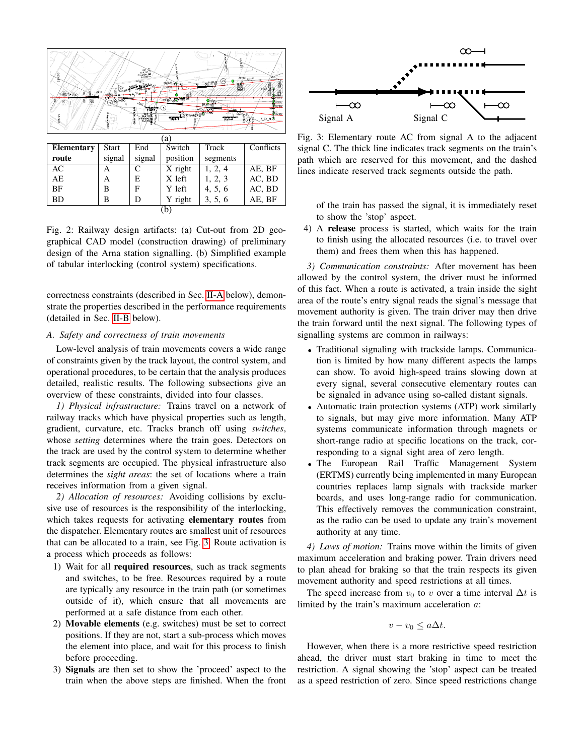<span id="page-2-0"></span>

Fig. 2: Railway design artifacts: (a) Cut-out from 2D geographical CAD model (construction drawing) of preliminary design of the Arna station signalling. (b) Simplified example of tabular interlocking (control system) specifications.

correctness constraints (described in Sec. [II-A](#page-2-1) below), demonstrate the properties described in the performance requirements (detailed in Sec. [II-B](#page-3-1) below).

## <span id="page-2-1"></span>*A. Safety and correctness of train movements*

Low-level analysis of train movements covers a wide range of constraints given by the track layout, the control system, and operational procedures, to be certain that the analysis produces detailed, realistic results. The following subsections give an overview of these constraints, divided into four classes.

*1) Physical infrastructure:* Trains travel on a network of railway tracks which have physical properties such as length, gradient, curvature, etc. Tracks branch off using *switches*, whose *setting* determines where the train goes. Detectors on the track are used by the control system to determine whether track segments are occupied. The physical infrastructure also determines the *sight areas*: the set of locations where a train receives information from a given signal.

*2) Allocation of resources:* Avoiding collisions by exclusive use of resources is the responsibility of the interlocking, which takes requests for activating elementary routes from the dispatcher. Elementary routes are smallest unit of resources that can be allocated to a train, see Fig. [3.](#page-2-2) Route activation is a process which proceeds as follows:

- 1) Wait for all required resources, such as track segments and switches, to be free. Resources required by a route are typically any resource in the train path (or sometimes outside of it), which ensure that all movements are performed at a safe distance from each other.
- 2) Movable elements (e.g. switches) must be set to correct positions. If they are not, start a sub-process which moves the element into place, and wait for this process to finish before proceeding.
- 3) Signals are then set to show the 'proceed' aspect to the train when the above steps are finished. When the front

<span id="page-2-2"></span>

Fig. 3: Elementary route AC from signal A to the adjacent signal C. The thick line indicates track segments on the train's path which are reserved for this movement, and the dashed lines indicate reserved track segments outside the path.

of the train has passed the signal, it is immediately reset to show the 'stop' aspect.

4) A release process is started, which waits for the train to finish using the allocated resources (i.e. to travel over them) and frees them when this has happened.

*3) Communication constraints:* After movement has been allowed by the control system, the driver must be informed of this fact. When a route is activated, a train inside the sight area of the route's entry signal reads the signal's message that movement authority is given. The train driver may then drive the train forward until the next signal. The following types of signalling systems are common in railways:

- Traditional signaling with trackside lamps. Communication is limited by how many different aspects the lamps can show. To avoid high-speed trains slowing down at every signal, several consecutive elementary routes can be signaled in advance using so-called distant signals.
- Automatic train protection systems (ATP) work similarly to signals, but may give more information. Many ATP systems communicate information through magnets or short-range radio at specific locations on the track, corresponding to a signal sight area of zero length.
- The European Rail Traffic Management System (ERTMS) currently being implemented in many European countries replaces lamp signals with trackside marker boards, and uses long-range radio for communication. This effectively removes the communication constraint, as the radio can be used to update any train's movement authority at any time.

*4) Laws of motion:* Trains move within the limits of given maximum acceleration and braking power. Train drivers need to plan ahead for braking so that the train respects its given movement authority and speed restrictions at all times.

The speed increase from  $v_0$  to v over a time interval  $\Delta t$  is limited by the train's maximum acceleration a:

$$
v - v_0 \le a\Delta t.
$$

However, when there is a more restrictive speed restriction ahead, the driver must start braking in time to meet the restriction. A signal showing the 'stop' aspect can be treated as a speed restriction of zero. Since speed restrictions change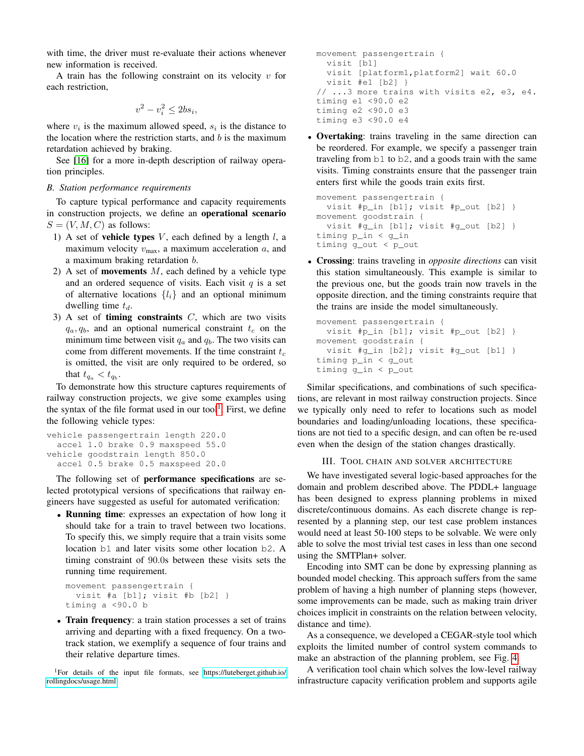with time, the driver must re-evaluate their actions whenever new information is received.

A train has the following constraint on its velocity  $v$  for each restriction,

$$
v^2 - v_i^2 \le 2bs_i
$$

,

where  $v_i$  is the maximum allowed speed,  $s_i$  is the distance to the location where the restriction starts, and  $b$  is the maximum retardation achieved by braking.

See [\[16\]](#page-8-15) for a more in-depth description of railway operation principles.

## <span id="page-3-1"></span>*B. Station performance requirements*

To capture typical performance and capacity requirements in construction projects, we define an operational scenario  $S = (V, M, C)$  as follows:

- 1) A set of **vehicle types**  $V$ , each defined by a length  $l$ , a maximum velocity  $v_{\text{max}}$ , a maximum acceleration a, and a maximum braking retardation b.
- 2) A set of **movements**  $M$ , each defined by a vehicle type and an ordered sequence of visits. Each visit  $q$  is a set of alternative locations  $\{l_i\}$  and an optional minimum dwelling time  $t_d$ .
- 3) A set of **timing constraints**  $C$ , which are two visits  $q_a, q_b$ , and an optional numerical constraint  $t_c$  on the minimum time between visit  $q_a$  and  $q_b$ . The two visits can come from different movements. If the time constraint  $t_c$ is omitted, the visit are only required to be ordered, so that  $t_{q_a} < t_{q_b}$ .

To demonstrate how this structure captures requirements of railway construction projects, we give some examples using the syntax of the file format used in our tool<sup>[1](#page-3-2)</sup>. First, we define the following vehicle types:

```
vehicle passengertrain length 220.0
 accel 1.0 brake 0.9 maxspeed 55.0
vehicle goodstrain length 850.0
 accel 0.5 brake 0.5 maxspeed 20.0
```
The following set of performance specifications are selected prototypical versions of specifications that railway engineers have suggested as useful for automated verification:

• Running time: expresses an expectation of how long it should take for a train to travel between two locations. To specify this, we simply require that a train visits some location b1 and later visits some other location b2. A timing constraint of 90.0s between these visits sets the running time requirement.

```
movement passengertrain {
  visit #a [b1]; visit #b [b2] }
timing a <90.0 b
```
• Train frequency: a train station processes a set of trains arriving and departing with a fixed frequency. On a twotrack station, we exemplify a sequence of four trains and their relative departure times.

<span id="page-3-2"></span><sup>1</sup>For details of the input file formats, see [https://luteberget.github.io/](https://luteberget.github.io/rollingdocs/usage.html) [rollingdocs/usage.html](https://luteberget.github.io/rollingdocs/usage.html)

```
movement passengertrain {
  visit [b1]
  visit [platform1,platform2] wait 60.0
  visit #e1 [b2] }
// ...3 more trains with visits e2, e3, e4.
timing e1 <90.0 e2
timing e2 <90.0 e3
timing e3 <90.0 e4
```
• Overtaking: trains traveling in the same direction can be reordered. For example, we specify a passenger train traveling from b1 to b2, and a goods train with the same visits. Timing constraints ensure that the passenger train enters first while the goods train exits first.

```
movement passengertrain {
  visit #p_in [b1]; visit #p_out [b2] }
movement goodstrain {
  visit #g_in [b1]; visit #g_out [b2] }
timing p_in < g_in
timing g_out < p_out
```
• Crossing: trains traveling in *opposite directions* can visit this station simultaneously. This example is similar to the previous one, but the goods train now travels in the opposite direction, and the timing constraints require that the trains are inside the model simultaneously.

```
movement passengertrain {
  visit #p_in [b1]; visit #p_out [b2] }
movement goodstrain {
  visit #g_in [b2]; visit #g_out [b1] }
timing p_in < g_out
timing g_in < p_out
```
Similar specifications, and combinations of such specifications, are relevant in most railway construction projects. Since we typically only need to refer to locations such as model boundaries and loading/unloading locations, these specifications are not tied to a specific design, and can often be re-used even when the design of the station changes drastically.

# III. TOOL CHAIN AND SOLVER ARCHITECTURE

<span id="page-3-0"></span>We have investigated several logic-based approaches for the domain and problem described above. The PDDL+ language has been designed to express planning problems in mixed discrete/continuous domains. As each discrete change is represented by a planning step, our test case problem instances would need at least 50-100 steps to be solvable. We were only able to solve the most trivial test cases in less than one second using the SMTPlan+ solver.

Encoding into SMT can be done by expressing planning as bounded model checking. This approach suffers from the same problem of having a high number of planning steps (however, some improvements can be made, such as making train driver choices implicit in constraints on the relation between velocity, distance and time).

As a consequence, we developed a CEGAR-style tool which exploits the limited number of control system commands to make an abstraction of the planning problem, see Fig. [4.](#page-4-0)

A verification tool chain which solves the low-level railway infrastructure capacity verification problem and supports agile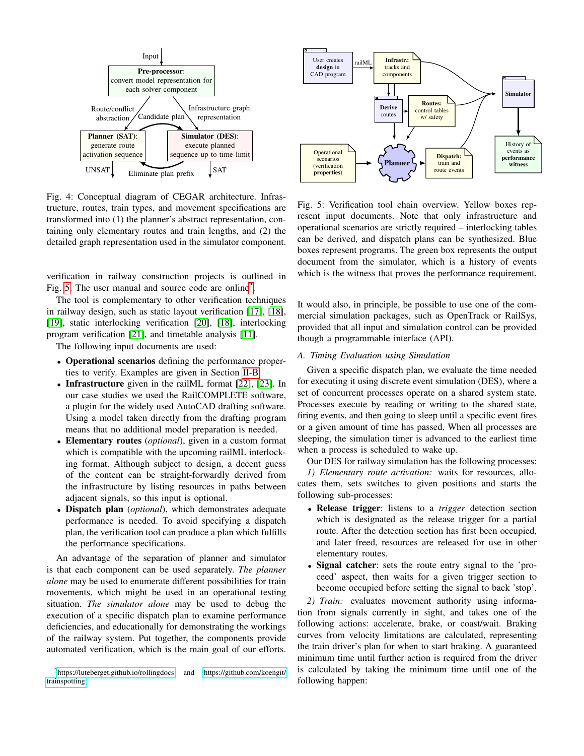<span id="page-4-0"></span>

Fig. 4: Conceptual diagram of CEGAR architecture. Infrastructure, routes, train types, and movement specifications are transformed into (1) the planner's abstract representation, containing only elementary routes and train lengths, and (2) the detailed graph representation used in the simulator component.

verification in railway construction projects is outlined in Fig. [5.](#page-4-1) The user manual and source code are online<sup>[2](#page-4-2)</sup>.

The tool is complementary to other verification techniques in railway design, such as static layout verification [\[17\]](#page-8-16), [\[18\]](#page-8-17), [\[19\]](#page-8-18), static interlocking verification [\[20\]](#page-8-19), [\[18\]](#page-8-17), interlocking program verification [\[21\]](#page-8-20), and timetable analysis [\[11\]](#page-8-10).

The following input documents are used:

- Operational scenarios defining the performance properties to verify. Examples are given in Section [II-B.](#page-3-1)
- Infrastructure given in the railML format [\[22\]](#page-8-21), [\[23\]](#page-8-22). In our case studies we used the RailCOMPLETE software, a plugin for the widely used AutoCAD drafting software. Using a model taken directly from the drafting program means that no additional model preparation is needed.
- Elementary routes (*optional*), given in a custom format which is compatible with the upcoming railML interlocking format. Although subject to design, a decent guess of the content can be straight-forwardly derived from the infrastructure by listing resources in paths between adjacent signals, so this input is optional.
- Dispatch plan (*optional*), which demonstrates adequate performance is needed. To avoid specifying a dispatch plan, the verification tool can produce a plan which fulfills the performance specifications.

An advantage of the separation of planner and simulator is that each component can be used separately. *The planner alone* may be used to enumerate different possibilities for train movements, which might be used in an operational testing situation. *The simulator alone* may be used to debug the execution of a specific dispatch plan to examine performance deficiencies, and educationally for demonstrating the workings of the railway system. Put together, the components provide automated verification, which is the main goal of our efforts.

<span id="page-4-1"></span>

Fig. 5: Verification tool chain overview. Yellow boxes represent input documents. Note that only infrastructure and operational scenarios are strictly required – interlocking tables can be derived, and dispatch plans can be synthesized. Blue boxes represent programs. The green box represents the output document from the simulator, which is a history of events which is the witness that proves the performance requirement.

It would also, in principle, be possible to use one of the commercial simulation packages, such as OpenTrack or RailSys, provided that all input and simulation control can be provided though a programmable interface (API).

# *A. Timing Evaluation using Simulation*

Given a specific dispatch plan, we evaluate the time needed for executing it using discrete event simulation (DES), where a set of concurrent processes operate on a shared system state. Processes execute by reading or writing to the shared state, firing events, and then going to sleep until a specific event fires or a given amount of time has passed. When all processes are sleeping, the simulation timer is advanced to the earliest time when a process is scheduled to wake up.

Our DES for railway simulation has the following processes: *1) Elementary route activation:* waits for resources, allocates them, sets switches to given positions and starts the following sub-processes:

- Release trigger: listens to a *trigger* detection section which is designated as the release trigger for a partial route. After the detection section has first been occupied, and later freed, resources are released for use in other elementary routes.
- Signal catcher: sets the route entry signal to the 'proceed' aspect, then waits for a given trigger section to become occupied before setting the signal to back 'stop'.

*2) Train:* evaluates movement authority using information from signals currently in sight, and takes one of the following actions: accelerate, brake, or coast/wait. Braking curves from velocity limitations are calculated, representing the train driver's plan for when to start braking. A guaranteed minimum time until further action is required from the driver is calculated by taking the minimum time until one of the following happen:

<span id="page-4-2"></span><sup>2</sup><https://luteberget.github.io/rollingdocs> and [https://github.com/koengit/](https://github.com/koengit/trainspotting) [trainspotting](https://github.com/koengit/trainspotting)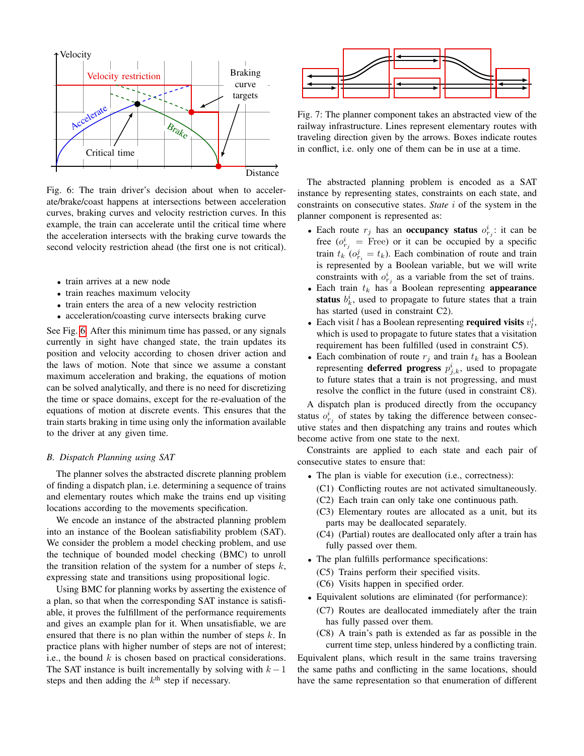<span id="page-5-0"></span>

Fig. 6: The train driver's decision about when to accelerate/brake/coast happens at intersections between acceleration curves, braking curves and velocity restriction curves. In this example, the train can accelerate until the critical time where the acceleration intersects with the braking curve towards the second velocity restriction ahead (the first one is not critical).

- train arrives at a new node
- train reaches maximum velocity
- train enters the area of a new velocity restriction
- acceleration/coasting curve intersects braking curve

See Fig. [6.](#page-5-0) After this minimum time has passed, or any signals currently in sight have changed state, the train updates its position and velocity according to chosen driver action and the laws of motion. Note that since we assume a constant maximum acceleration and braking, the equations of motion can be solved analytically, and there is no need for discretizing the time or space domains, except for the re-evaluation of the equations of motion at discrete events. This ensures that the train starts braking in time using only the information available to the driver at any given time.

## *B. Dispatch Planning using SAT*

The planner solves the abstracted discrete planning problem of finding a dispatch plan, i.e. determining a sequence of trains and elementary routes which make the trains end up visiting locations according to the movements specification.

We encode an instance of the abstracted planning problem into an instance of the Boolean satisfiability problem (SAT). We consider the problem a model checking problem, and use the technique of bounded model checking (BMC) to unroll the transition relation of the system for a number of steps  $k$ , expressing state and transitions using propositional logic.

Using BMC for planning works by asserting the existence of a plan, so that when the corresponding SAT instance is satisfiable, it proves the fulfillment of the performance requirements and gives an example plan for it. When unsatisfiable, we are ensured that there is no plan within the number of steps  $k$ . In practice plans with higher number of steps are not of interest; i.e., the bound  $k$  is chosen based on practical considerations. The SAT instance is built incrementally by solving with  $k - 1$ steps and then adding the  $k<sup>th</sup>$  step if necessary.



Fig. 7: The planner component takes an abstracted view of the railway infrastructure. Lines represent elementary routes with traveling direction given by the arrows. Boxes indicate routes in conflict, i.e. only one of them can be in use at a time.

The abstracted planning problem is encoded as a SAT instance by representing states, constraints on each state, and constraints on consecutive states. *State* i of the system in the planner component is represented as:

- Each route  $r_j$  has an **occupancy status**  $o_{r_j}^i$ : it can be free  $(o_{r_j}^i$  = Free) or it can be occupied by a specific train  $t_k$  ( $o_{r_i}^j = t_k$ ). Each combination of route and train is represented by a Boolean variable, but we will write constraints with  $o_{r_j}^i$  as a variable from the set of trains.
- Each train  $t_k$  has a Boolean representing **appearance** status  $b_k^i$ , used to propagate to future states that a train has started (used in constraint C2).
- Each visit *l* has a Boolean representing **required visits**  $v_l^i$ , which is used to propagate to future states that a visitation requirement has been fulfilled (used in constraint C5).
- Each combination of route  $r_j$  and train  $t_k$  has a Boolean representing **deferred progress**  $p_{j,k}^i$ , used to propagate to future states that a train is not progressing, and must resolve the conflict in the future (used in constraint C8).

A dispatch plan is produced directly from the occupancy status  $o_{r_j}^i$  of states by taking the difference between consecutive states and then dispatching any trains and routes which become active from one state to the next.

Constraints are applied to each state and each pair of consecutive states to ensure that:

- The plan is viable for execution (i.e., correctness):
	- (C1) Conflicting routes are not activated simultaneously.
	- (C2) Each train can only take one continuous path.
	- (C3) Elementary routes are allocated as a unit, but its parts may be deallocated separately.
	- (C4) (Partial) routes are deallocated only after a train has fully passed over them.
- The plan fulfills performance specifications:
	- (C5) Trains perform their specified visits.
	- (C6) Visits happen in specified order.
- Equivalent solutions are eliminated (for performance):
	- (C7) Routes are deallocated immediately after the train has fully passed over them.
	- (C8) A train's path is extended as far as possible in the current time step, unless hindered by a conflicting train.

Equivalent plans, which result in the same trains traversing the same paths and conflicting in the same locations, should have the same representation so that enumeration of different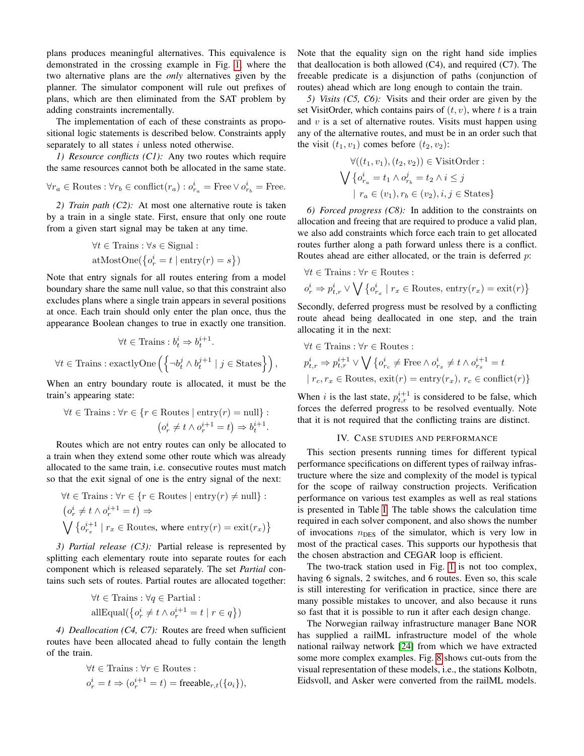plans produces meaningful alternatives. This equivalence is demonstrated in the crossing example in Fig. [1,](#page-0-0) where the two alternative plans are the *only* alternatives given by the planner. The simulator component will rule out prefixes of plans, which are then eliminated from the SAT problem by adding constraints incrementally.

The implementation of each of these constraints as propositional logic statements is described below. Constraints apply separately to all states  $i$  unless noted otherwise.

*1) Resource conflicts (C1):* Any two routes which require the same resources cannot both be allocated in the same state.

$$
\forall r_a \in \textit{Routers} : \forall r_b \in \textit{conflict}(r_a) : o^i_{r_a} = \textit{Free} \vee o^i_{r_b} = \textit{Free}.
$$

*2) Train path (C2):* At most one alternative route is taken by a train in a single state. First, ensure that only one route from a given start signal may be taken at any time.

$$
\forall t \in \text{Trans}: \forall s \in \text{Signal}: \\
 \text{atMostOne}(\{o_r^i = t \mid \text{entry}(r) = s\})
$$

Note that entry signals for all routes entering from a model boundary share the same null value, so that this constraint also excludes plans where a single train appears in several positions at once. Each train should only enter the plan once, thus the appearance Boolean changes to true in exactly one transition.

$$
\forall t \in \text{Trans}: b_t^i \Rightarrow b_t^{i+1}.
$$
  

$$
\forall t \in \text{Trans}: \text{exactlyOne}\left(\left\{\neg b_t^j \land b_t^{j+1} \mid j \in \text{States}\right\}\right),
$$

 $\ldots$ 

When an entry boundary route is allocated, it must be the train's appearing state:

$$
\forall t \in \text{Trans}: \forall r \in \{r \in \text{Routers} \mid \text{entry}(r) = \text{null}\} :
$$

$$
(o_r^i \neq t \land o_r^{i+1} = t) \Rightarrow b_t^{i+1}.
$$

Routes which are not entry routes can only be allocated to a train when they extend some other route which was already allocated to the same train, i.e. consecutive routes must match so that the exit signal of one is the entry signal of the next:

$$
\forall t \in \text{Trans}: \forall r \in \{r \in \text{Routers} \mid \text{entry}(r) \neq \text{null}\} :
$$

$$
(o_r^i \neq t \land o_r^{i+1} = t) \Rightarrow
$$

$$
\bigvee \{o_{r_x}^{i+1} \mid r_x \in \text{Routers}, \text{ where } \text{entry}(r) = \text{exit}(r_x)\}\
$$

*3) Partial release (C3):* Partial release is represented by splitting each elementary route into separate routes for each component which is released separately. The set *Partial* contains such sets of routes. Partial routes are allocated together:

$$
\forall t \in \text{Trans}: \forall q \in \text{Partial}: \\
 \text{all} \text{Equal}(\{o_r^i \neq t \land o_r^{i+1} = t \mid r \in q\})
$$

*4) Deallocation (C4, C7):* Routes are freed when sufficient routes have been allocated ahead to fully contain the length of the train.

$$
\forall t \in \text{Trans}: \forall r \in \text{Routers}: \n o_r^i = t \Rightarrow (o_r^{i+1} = t) = \text{freable}_{r,t}(\{o_i\}),
$$

Note that the equality sign on the right hand side implies that deallocation is both allowed (C4), and required (C7). The freeable predicate is a disjunction of paths (conjunction of routes) ahead which are long enough to contain the train.

*5) Visits (C5, C6):* Visits and their order are given by the set VisitOrder, which contains pairs of  $(t, v)$ , where t is a train and  $v$  is a set of alternative routes. Visits must happen using any of the alternative routes, and must be in an order such that the visit  $(t_1, v_1)$  comes before  $(t_2, v_2)$ :

$$
\forall ((t_1, v_1), (t_2, v_2)) \in \text{VisitOrder}: \n\bigvee \{o_{r_a}^i = t_1 \land o_{r_b}^j = t_2 \land i \leq j \n\mid r_a \in (v_1), r_b \in (v_2), i, j \in \text{States}\}
$$

*6) Forced progress (C8):* In addition to the constraints on allocation and freeing that are required to produce a valid plan, we also add constraints which force each train to get allocated routes further along a path forward unless there is a conflict. Routes ahead are either allocated, or the train is deferred  $p$ :

$$
\forall t \in \text{Trains}: \forall r \in \text{Routs}: \\
o_r^i \Rightarrow p_{t,r}^i \lor \bigvee \{o_{r_x}^i \mid r_x \in \text{Routers}, \, \text{entry}(r_x) = \text{exit}(r)\}
$$

Secondly, deferred progress must be resolved by a conflicting route ahead being deallocated in one step, and the train allocating it in the next:

$$
\begin{aligned} &\forall t \in \text{Trans}: \forall r \in \text{Routers}: \\ &p_{t,r}^i \Rightarrow p_{t,r}^{i+1} \vee \bigvee \left\{ o_{r_c}^i \neq \text{Free} \wedge o_{r_x}^i \neq t \wedge o_{r_x}^{i+1} = t \\ &\mid r_c, r_x \in \text{Routers}, \: \text{exit}(r) = \text{entry}(r_x), \: r_c \in \text{conflict}(r) \right\} \end{aligned}
$$

When *i* is the last state,  $p_{t,r}^{i+1}$  is considered to be false, which forces the deferred progress to be resolved eventually. Note that it is not required that the conflicting trains are distinct.

## IV. CASE STUDIES AND PERFORMANCE

<span id="page-6-0"></span>This section presents running times for different typical performance specifications on different types of railway infrastructure where the size and complexity of the model is typical for the scope of railway construction projects. Verification performance on various test examples as well as real stations is presented in Table [I.](#page-7-2) The table shows the calculation time required in each solver component, and also shows the number of invocations  $n_{\text{DES}}$  of the simulator, which is very low in most of the practical cases. This supports our hypothesis that the chosen abstraction and CEGAR loop is efficient.

The two-track station used in Fig. [1](#page-0-0) is not too complex, having 6 signals, 2 switches, and 6 routes. Even so, this scale is still interesting for verification in practice, since there are many possible mistakes to uncover, and also because it runs so fast that it is possible to run it after each design change.

The Norwegian railway infrastructure manager Bane NOR has supplied a railML infrastructure model of the whole national railway network [\[24\]](#page-8-23) from which we have extracted some more complex examples. Fig. [8](#page-7-3) shows cut-outs from the visual representation of these models, i.e., the stations Kolbotn, Eidsvoll, and Asker were converted from the railML models.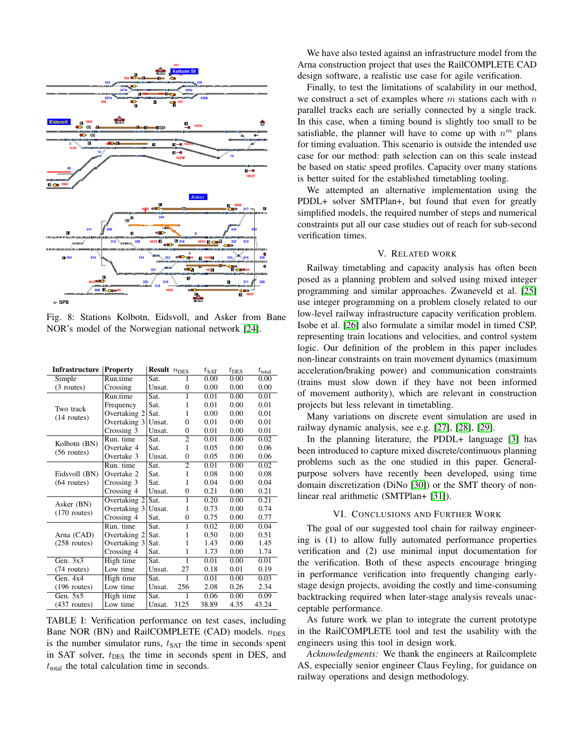<span id="page-7-3"></span>

Fig. 8: Stations Kolbotn, Eidsvoll, and Asker from Bane NOR's model of the Norwegian national network [\[24\]](#page-8-23).

<span id="page-7-2"></span>

| Simple<br>Run.time<br>0.00<br>0.00<br>0.00<br>Sat.<br>0.00<br>0.00<br>0.00<br>$(3$ routes)<br>Crossing<br>Unsat.<br>$\overline{0}$<br>0.01<br>0.00<br>0.01<br>Run.time<br>Sat.<br>1<br>0.01<br>Sat.<br>1<br>0.01<br>0.00<br>Frequency<br>Two track<br>0.00<br>0.00<br>0.01<br>Overtaking 2<br>1<br>Sat.<br>$(14$ routes)<br>0.01<br>Overtaking 3<br>Unsat.<br>$\theta$<br>0.01<br>0.00<br>0.01<br>0.00<br>0.01<br>Crossing 3<br>Unsat.<br>0<br>$\overline{2}$<br>Run. time<br>0.01<br>0.00<br>0.02<br>Sat.<br>Kolbotn (BN)<br>Overtake 4<br>1<br>0.05<br>0.00<br>0.06<br>Sat.<br>$(56$ routes)<br>Overtake 3<br>Unsat.<br>$\overline{0}$<br>0.05<br>0.00<br>0.06<br>Run. time<br>$\overline{2}$<br>0.01<br>0.00<br>0.02<br>Sat.<br>Eidsvoll (BN)<br>Overtake 2<br>Sat.<br>1<br>0.08<br>0.00<br>0.08<br>$(64$ routes)<br>1<br>0.04<br>0.00<br>0.04<br>Crossing 3<br>Sat.<br>Crossing 4<br>Unsat.<br>$\theta$<br>0.21<br>0.00<br>0.21<br>Sat.<br>$\overline{1}$<br>0.20<br>0.00<br>0.21<br>Overtaking 2<br>Asker (BN)<br>Overtaking 3<br>0.73<br>0.00<br>0.74<br>Unsat.<br>1<br>$(170$ routes)<br>Crossing 4<br>0.00<br>0.77<br>Sat.<br>$\overline{0}$<br>0.75<br>$\overline{1}$<br>0.04<br>Run. time<br>Sat.<br>0.02<br>0.00<br>Arna (CAD)<br>Overtaking 2<br>0.50<br>0.00<br>0.51<br>Sat.<br>1<br>$(258$ routes)<br>Overtaking 3<br>Sat.<br>1<br>1.43<br>0.00<br>1.45<br>1<br>Crossing 4<br>Sat.<br>1.73<br>0.00<br>1.74<br>Gen. $3x3$<br>High time<br>1<br>0.00<br>0.01<br>0.01<br>Sat.<br>Low time<br>0.18<br>0.01<br>0.19<br>(74 routes)<br>Unsat.<br>27<br>1<br>Gen. $4x4$<br>Sat.<br>0.01<br>0.00<br>0.03 | <b>Infrastructure</b> | <b>Property</b> | Result $n_\mathrm{DES}$ | $t_{\rm SAT}$ | $t_{\rm DES}$ | $t_{\text{total}}$ |
|----------------------------------------------------------------------------------------------------------------------------------------------------------------------------------------------------------------------------------------------------------------------------------------------------------------------------------------------------------------------------------------------------------------------------------------------------------------------------------------------------------------------------------------------------------------------------------------------------------------------------------------------------------------------------------------------------------------------------------------------------------------------------------------------------------------------------------------------------------------------------------------------------------------------------------------------------------------------------------------------------------------------------------------------------------------------------------------------------------------------------------------------------------------------------------------------------------------------------------------------------------------------------------------------------------------------------------------------------------------------------------------------------------------------------------------------------------------------------------------------------------------------------------------------------------------------------------------------------------------|-----------------------|-----------------|-------------------------|---------------|---------------|--------------------|
|                                                                                                                                                                                                                                                                                                                                                                                                                                                                                                                                                                                                                                                                                                                                                                                                                                                                                                                                                                                                                                                                                                                                                                                                                                                                                                                                                                                                                                                                                                                                                                                                                |                       |                 |                         |               |               |                    |
|                                                                                                                                                                                                                                                                                                                                                                                                                                                                                                                                                                                                                                                                                                                                                                                                                                                                                                                                                                                                                                                                                                                                                                                                                                                                                                                                                                                                                                                                                                                                                                                                                |                       |                 |                         |               |               |                    |
|                                                                                                                                                                                                                                                                                                                                                                                                                                                                                                                                                                                                                                                                                                                                                                                                                                                                                                                                                                                                                                                                                                                                                                                                                                                                                                                                                                                                                                                                                                                                                                                                                |                       |                 |                         |               |               |                    |
|                                                                                                                                                                                                                                                                                                                                                                                                                                                                                                                                                                                                                                                                                                                                                                                                                                                                                                                                                                                                                                                                                                                                                                                                                                                                                                                                                                                                                                                                                                                                                                                                                |                       |                 |                         |               |               |                    |
|                                                                                                                                                                                                                                                                                                                                                                                                                                                                                                                                                                                                                                                                                                                                                                                                                                                                                                                                                                                                                                                                                                                                                                                                                                                                                                                                                                                                                                                                                                                                                                                                                |                       |                 |                         |               |               |                    |
|                                                                                                                                                                                                                                                                                                                                                                                                                                                                                                                                                                                                                                                                                                                                                                                                                                                                                                                                                                                                                                                                                                                                                                                                                                                                                                                                                                                                                                                                                                                                                                                                                |                       |                 |                         |               |               |                    |
|                                                                                                                                                                                                                                                                                                                                                                                                                                                                                                                                                                                                                                                                                                                                                                                                                                                                                                                                                                                                                                                                                                                                                                                                                                                                                                                                                                                                                                                                                                                                                                                                                |                       |                 |                         |               |               |                    |
|                                                                                                                                                                                                                                                                                                                                                                                                                                                                                                                                                                                                                                                                                                                                                                                                                                                                                                                                                                                                                                                                                                                                                                                                                                                                                                                                                                                                                                                                                                                                                                                                                |                       |                 |                         |               |               |                    |
|                                                                                                                                                                                                                                                                                                                                                                                                                                                                                                                                                                                                                                                                                                                                                                                                                                                                                                                                                                                                                                                                                                                                                                                                                                                                                                                                                                                                                                                                                                                                                                                                                |                       |                 |                         |               |               |                    |
|                                                                                                                                                                                                                                                                                                                                                                                                                                                                                                                                                                                                                                                                                                                                                                                                                                                                                                                                                                                                                                                                                                                                                                                                                                                                                                                                                                                                                                                                                                                                                                                                                |                       |                 |                         |               |               |                    |
|                                                                                                                                                                                                                                                                                                                                                                                                                                                                                                                                                                                                                                                                                                                                                                                                                                                                                                                                                                                                                                                                                                                                                                                                                                                                                                                                                                                                                                                                                                                                                                                                                |                       |                 |                         |               |               |                    |
|                                                                                                                                                                                                                                                                                                                                                                                                                                                                                                                                                                                                                                                                                                                                                                                                                                                                                                                                                                                                                                                                                                                                                                                                                                                                                                                                                                                                                                                                                                                                                                                                                |                       |                 |                         |               |               |                    |
|                                                                                                                                                                                                                                                                                                                                                                                                                                                                                                                                                                                                                                                                                                                                                                                                                                                                                                                                                                                                                                                                                                                                                                                                                                                                                                                                                                                                                                                                                                                                                                                                                |                       |                 |                         |               |               |                    |
|                                                                                                                                                                                                                                                                                                                                                                                                                                                                                                                                                                                                                                                                                                                                                                                                                                                                                                                                                                                                                                                                                                                                                                                                                                                                                                                                                                                                                                                                                                                                                                                                                |                       |                 |                         |               |               |                    |
|                                                                                                                                                                                                                                                                                                                                                                                                                                                                                                                                                                                                                                                                                                                                                                                                                                                                                                                                                                                                                                                                                                                                                                                                                                                                                                                                                                                                                                                                                                                                                                                                                |                       |                 |                         |               |               |                    |
|                                                                                                                                                                                                                                                                                                                                                                                                                                                                                                                                                                                                                                                                                                                                                                                                                                                                                                                                                                                                                                                                                                                                                                                                                                                                                                                                                                                                                                                                                                                                                                                                                |                       |                 |                         |               |               |                    |
|                                                                                                                                                                                                                                                                                                                                                                                                                                                                                                                                                                                                                                                                                                                                                                                                                                                                                                                                                                                                                                                                                                                                                                                                                                                                                                                                                                                                                                                                                                                                                                                                                |                       |                 |                         |               |               |                    |
|                                                                                                                                                                                                                                                                                                                                                                                                                                                                                                                                                                                                                                                                                                                                                                                                                                                                                                                                                                                                                                                                                                                                                                                                                                                                                                                                                                                                                                                                                                                                                                                                                |                       |                 |                         |               |               |                    |
|                                                                                                                                                                                                                                                                                                                                                                                                                                                                                                                                                                                                                                                                                                                                                                                                                                                                                                                                                                                                                                                                                                                                                                                                                                                                                                                                                                                                                                                                                                                                                                                                                |                       |                 |                         |               |               |                    |
|                                                                                                                                                                                                                                                                                                                                                                                                                                                                                                                                                                                                                                                                                                                                                                                                                                                                                                                                                                                                                                                                                                                                                                                                                                                                                                                                                                                                                                                                                                                                                                                                                |                       |                 |                         |               |               |                    |
|                                                                                                                                                                                                                                                                                                                                                                                                                                                                                                                                                                                                                                                                                                                                                                                                                                                                                                                                                                                                                                                                                                                                                                                                                                                                                                                                                                                                                                                                                                                                                                                                                |                       |                 |                         |               |               |                    |
|                                                                                                                                                                                                                                                                                                                                                                                                                                                                                                                                                                                                                                                                                                                                                                                                                                                                                                                                                                                                                                                                                                                                                                                                                                                                                                                                                                                                                                                                                                                                                                                                                |                       |                 |                         |               |               |                    |
|                                                                                                                                                                                                                                                                                                                                                                                                                                                                                                                                                                                                                                                                                                                                                                                                                                                                                                                                                                                                                                                                                                                                                                                                                                                                                                                                                                                                                                                                                                                                                                                                                |                       |                 |                         |               |               |                    |
|                                                                                                                                                                                                                                                                                                                                                                                                                                                                                                                                                                                                                                                                                                                                                                                                                                                                                                                                                                                                                                                                                                                                                                                                                                                                                                                                                                                                                                                                                                                                                                                                                |                       | High time       |                         |               |               |                    |
| Low time<br>256<br>$(196$ routes)<br>Unsat.<br>2.08<br>0.26<br>2.34                                                                                                                                                                                                                                                                                                                                                                                                                                                                                                                                                                                                                                                                                                                                                                                                                                                                                                                                                                                                                                                                                                                                                                                                                                                                                                                                                                                                                                                                                                                                            |                       |                 |                         |               |               |                    |
| Gen. $5x5$<br>High time<br>Sat.<br>0.06<br>0.00<br>1<br>0.09                                                                                                                                                                                                                                                                                                                                                                                                                                                                                                                                                                                                                                                                                                                                                                                                                                                                                                                                                                                                                                                                                                                                                                                                                                                                                                                                                                                                                                                                                                                                                   |                       |                 |                         |               |               |                    |
| Low time<br>3125<br>38.89<br>4.35<br>43.24<br>$(437$ routes)<br>Unsat.                                                                                                                                                                                                                                                                                                                                                                                                                                                                                                                                                                                                                                                                                                                                                                                                                                                                                                                                                                                                                                                                                                                                                                                                                                                                                                                                                                                                                                                                                                                                         |                       |                 |                         |               |               |                    |

TABLE I: Verification performance on test cases, including Bane NOR (BN) and RailCOMPLETE (CAD) models.  $n_{\text{DES}}$ is the number simulator runs,  $t_{SAT}$  the time in seconds spent in SAT solver,  $t_{\text{DES}}$  the time in seconds spent in DES, and  $t<sub>total</sub>$  the total calculation time in seconds.

We have also tested against an infrastructure model from the Arna construction project that uses the RailCOMPLETE CAD design software, a realistic use case for agile verification.

Finally, to test the limitations of scalability in our method, we construct a set of examples where  $m$  stations each with  $n$ parallel tracks each are serially connected by a single track. In this case, when a timing bound is slightly too small to be satisfiable, the planner will have to come up with  $n^m$  plans for timing evaluation. This scenario is outside the intended use case for our method: path selection can on this scale instead be based on static speed profiles. Capacity over many stations is better suited for the established timetabling tooling.

We attempted an alternative implementation using the PDDL+ solver SMTPlan+, but found that even for greatly simplified models, the required number of steps and numerical constraints put all our case studies out of reach for sub-second verification times.

## V. RELATED WORK

<span id="page-7-0"></span>Railway timetabling and capacity analysis has often been posed as a planning problem and solved using mixed integer programming and similar approaches. Zwaneveld et al. [\[25\]](#page-8-24) use integer programming on a problem closely related to our low-level railway infrastructure capacity verification problem. Isobe et al. [\[26\]](#page-8-25) also formulate a similar model in timed CSP, representing train locations and velocities, and control system logic. Our definition of the problem in this paper includes non-linear constraints on train movement dynamics (maximum acceleration/braking power) and communication constraints (trains must slow down if they have not been informed of movement authority), which are relevant in construction projects but less relevant in timetabling.

Many variations on discrete event simulation are used in railway dynamic analysis, see e.g. [\[27\]](#page-8-26), [\[28\]](#page-8-27), [\[29\]](#page-8-28).

In the planning literature, the PDDL+ language [\[3\]](#page-8-2) has been introduced to capture mixed discrete/continuous planning problems such as the one studied in this paper. Generalpurpose solvers have recently been developed, using time domain discretization (DiNo [\[30\]](#page-8-29)) or the SMT theory of nonlinear real arithmetic (SMTPlan+ [\[31\]](#page-8-30)).

## VI. CONCLUSIONS AND FURTHER WORK

<span id="page-7-1"></span>The goal of our suggested tool chain for railway engineering is (1) to allow fully automated performance properties verification and (2) use minimal input documentation for the verification. Both of these aspects encourage bringing in performance verification into frequently changing earlystage design projects, avoiding the costly and time-consuming backtracking required when later-stage analysis reveals unacceptable performance.

As future work we plan to integrate the current prototype in the RailCOMPLETE tool and test the usability with the engineers using this tool in design work.

*Acknowledgments:* We thank the engineers at Railcomplete AS, especially senior engineer Claus Feyling, for guidance on railway operations and design methodology.